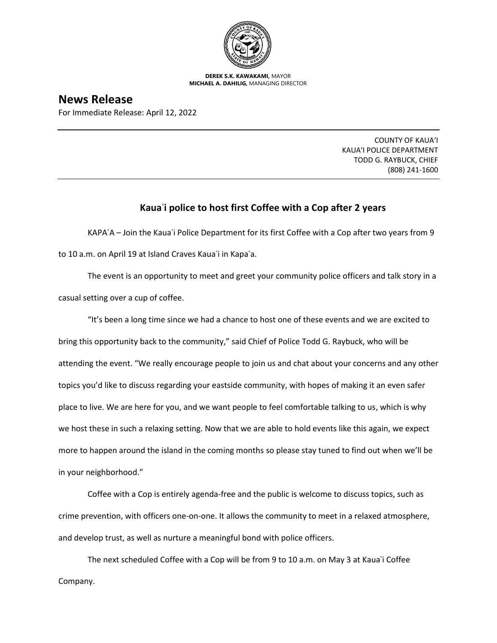

**DEREK S.K. KAWAKAMI,** MAYOR **MICHAEL A. DAHILIG,** MANAGING DIRECTOR

**News Release** For Immediate Release: April 12, 2022

> COUNTY OF KAUA'I KAUA'I POLICE DEPARTMENT TODD G. RAYBUCK, CHIEF (808) 241-1600

## **Kauaʿi police to host first Coffee with a Cop after 2 years**

KAPAʿA – Join the Kauaʿi Police Department for its first Coffee with a Cop after two years from 9 to 10 a.m. on April 19 at Island Craves Kauaʿi in Kapaʿa.

The event is an opportunity to meet and greet your community police officers and talk story in a casual setting over a cup of coffee.

"It's been a long time since we had a chance to host one of these events and we are excited to bring this opportunity back to the community," said Chief of Police Todd G. Raybuck, who will be attending the event. "We really encourage people to join us and chat about your concerns and any other topics you'd like to discuss regarding your eastside community, with hopes of making it an even safer place to live. We are here for you, and we want people to feel comfortable talking to us, which is why we host these in such a relaxing setting. Now that we are able to hold events like this again, we expect more to happen around the island in the coming months so please stay tuned to find out when we'll be in your neighborhood."

Coffee with a Cop is entirely agenda-free and the public is welcome to discuss topics, such as crime prevention, with officers one-on-one. It allows the community to meet in a relaxed atmosphere, and develop trust, as well as nurture a meaningful bond with police officers.

The next scheduled Coffee with a Cop will be from 9 to 10 a.m. on May 3 at Kaua'i Coffee Company.